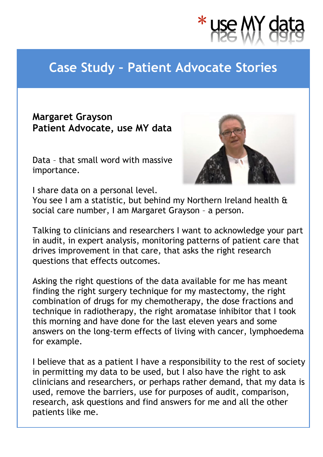

## **Case Study – Patient Advocate Stories**

## **Margaret Grayson Patient Advocate, use MY data**

Data – that small word with massive importance.



I share data on a personal level.

You see I am a statistic, but behind my Northern Ireland health & social care number, I am Margaret Grayson – a person.

Talking to clinicians and researchers I want to acknowledge your part in audit, in expert analysis, monitoring patterns of patient care that drives improvement in that care, that asks the right research questions that effects outcomes.

Asking the right questions of the data available for me has meant finding the right surgery technique for my mastectomy, the right combination of drugs for my chemotherapy, the dose fractions and technique in radiotherapy, the right aromatase inhibitor that I took this morning and have done for the last eleven years and some answers on the long-term effects of living with cancer, lymphoedema for example.

I believe that as a patient I have a responsibility to the rest of society in permitting my data to be used, but I also have the right to ask clinicians and researchers, or perhaps rather demand, that my data is used, remove the barriers, use for purposes of audit, comparison, research, ask questions and find answers for me and all the other patients like me.